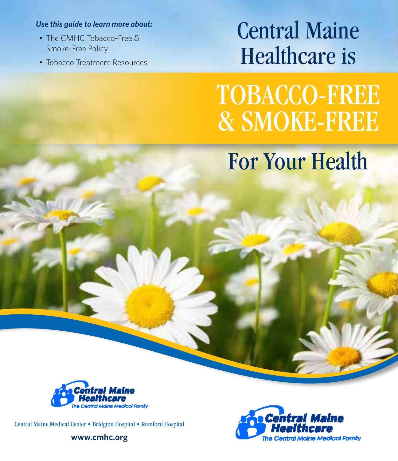#### *Use this guide to learn more about:*

- The CMHC Tobacco-Free & Smoke-Free Policy
- Tobacco Treatment Resources

# Central Maine Healthcare is

TOBACCO-FREE & SMOKE-FREE For Your Health



Central Maine Medical Center • Bridgton Hospital • Rumford Hospital

**www.cmhc.org**